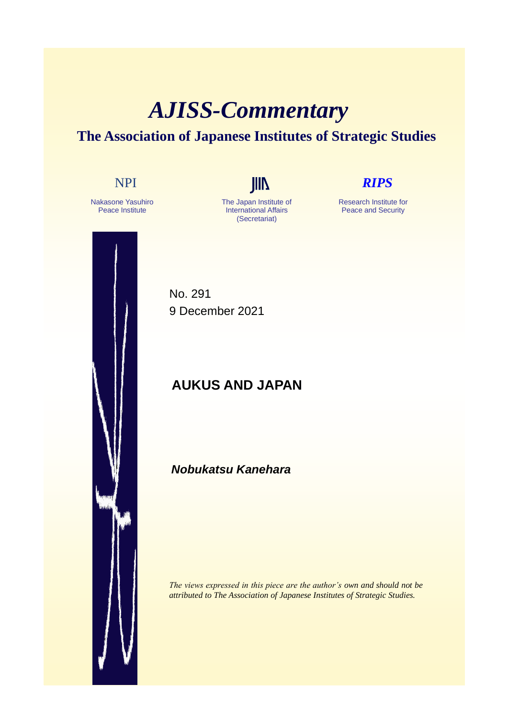## *AJISS-Commentary* **The Association of Japanese Institutes of Strategic Studies**



The Japan Institute of International Affairs (Secretariat)



Research Institute for Peace and Security

No. 291 9 December 2021

## **AUKUS AND JAPAN**

*Nobukatsu Kanehara*

*The views expressed in this piece are the author's own and should not be attributed to The Association of Japanese Institutes of Strategic Studies.*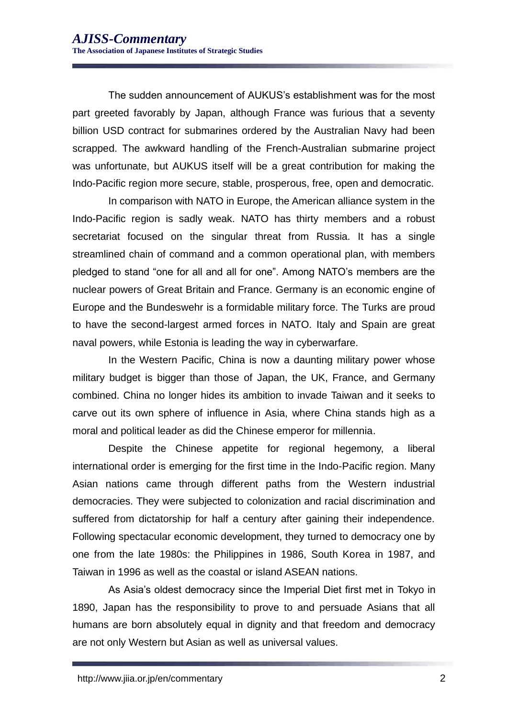The sudden announcement of AUKUS's establishment was for the most part greeted favorably by Japan, although France was furious that a seventy billion USD contract for submarines ordered by the Australian Navy had been scrapped. The awkward handling of the French-Australian submarine project was unfortunate, but AUKUS itself will be a great contribution for making the Indo-Pacific region more secure, stable, prosperous, free, open and democratic.

In comparison with NATO in Europe, the American alliance system in the Indo-Pacific region is sadly weak. NATO has thirty members and a robust secretariat focused on the singular threat from Russia. It has a single streamlined chain of command and a common operational plan, with members pledged to stand "one for all and all for one". Among NATO's members are the nuclear powers of Great Britain and France. Germany is an economic engine of Europe and the Bundeswehr is a formidable military force. The Turks are proud to have the second-largest armed forces in NATO. Italy and Spain are great naval powers, while Estonia is leading the way in cyberwarfare.

In the Western Pacific, China is now a daunting military power whose military budget is bigger than those of Japan, the UK, France, and Germany combined. China no longer hides its ambition to invade Taiwan and it seeks to carve out its own sphere of influence in Asia, where China stands high as a moral and political leader as did the Chinese emperor for millennia.

Despite the Chinese appetite for regional hegemony, a liberal international order is emerging for the first time in the Indo-Pacific region. Many Asian nations came through different paths from the Western industrial democracies. They were subjected to colonization and racial discrimination and suffered from dictatorship for half a century after gaining their independence. Following spectacular economic development, they turned to democracy one by one from the late 1980s: the Philippines in 1986, South Korea in 1987, and Taiwan in 1996 as well as the coastal or island ASEAN nations.

As Asia's oldest democracy since the Imperial Diet first met in Tokyo in 1890, Japan has the responsibility to prove to and persuade Asians that all humans are born absolutely equal in dignity and that freedom and democracy are not only Western but Asian as well as universal values.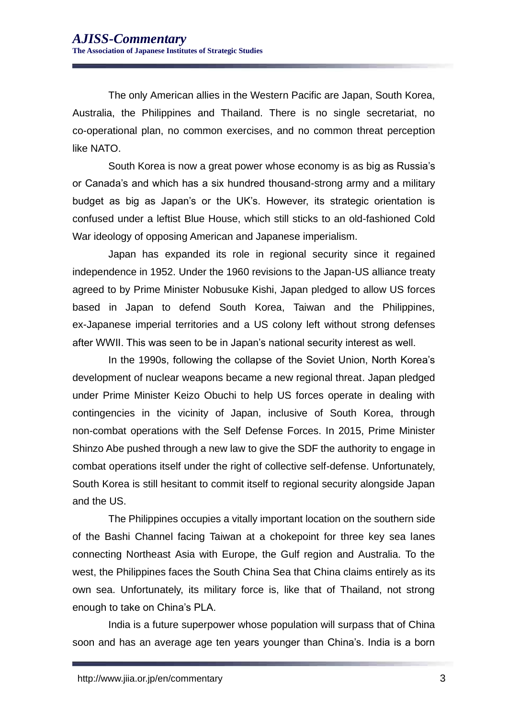The only American allies in the Western Pacific are Japan, South Korea, Australia, the Philippines and Thailand. There is no single secretariat, no co-operational plan, no common exercises, and no common threat perception like NATO.

South Korea is now a great power whose economy is as big as Russia's or Canada's and which has a six hundred thousand-strong army and a military budget as big as Japan's or the UK's. However, its strategic orientation is confused under a leftist Blue House, which still sticks to an old-fashioned Cold War ideology of opposing American and Japanese imperialism.

Japan has expanded its role in regional security since it regained independence in 1952. Under the 1960 revisions to the Japan-US alliance treaty agreed to by Prime Minister Nobusuke Kishi, Japan pledged to allow US forces based in Japan to defend South Korea, Taiwan and the Philippines, ex-Japanese imperial territories and a US colony left without strong defenses after WWII. This was seen to be in Japan's national security interest as well.

In the 1990s, following the collapse of the Soviet Union, North Korea's development of nuclear weapons became a new regional threat. Japan pledged under Prime Minister Keizo Obuchi to help US forces operate in dealing with contingencies in the vicinity of Japan, inclusive of South Korea, through non-combat operations with the Self Defense Forces. In 2015, Prime Minister Shinzo Abe pushed through a new law to give the SDF the authority to engage in combat operations itself under the right of collective self-defense. Unfortunately, South Korea is still hesitant to commit itself to regional security alongside Japan and the US.

The Philippines occupies a vitally important location on the southern side of the Bashi Channel facing Taiwan at a chokepoint for three key sea lanes connecting Northeast Asia with Europe, the Gulf region and Australia. To the west, the Philippines faces the South China Sea that China claims entirely as its own sea. Unfortunately, its military force is, like that of Thailand, not strong enough to take on China's PLA.

India is a future superpower whose population will surpass that of China soon and has an average age ten years younger than China's. India is a born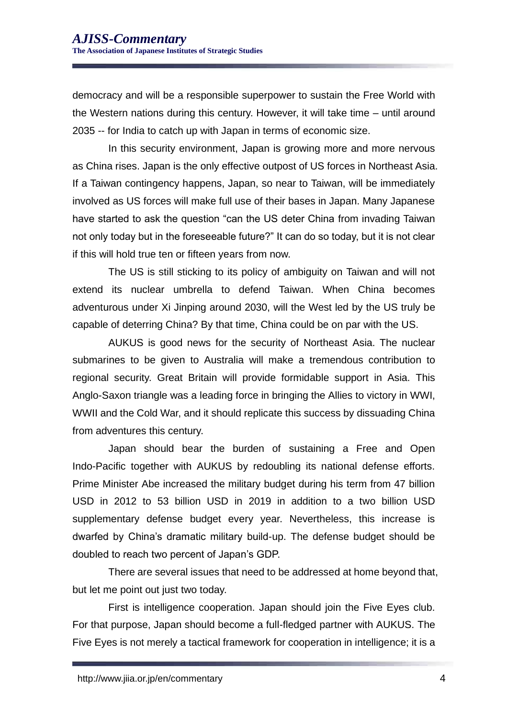democracy and will be a responsible superpower to sustain the Free World with the Western nations during this century. However, it will take time – until around 2035 -- for India to catch up with Japan in terms of economic size.

In this security environment, Japan is growing more and more nervous as China rises. Japan is the only effective outpost of US forces in Northeast Asia. If a Taiwan contingency happens, Japan, so near to Taiwan, will be immediately involved as US forces will make full use of their bases in Japan. Many Japanese have started to ask the question "can the US deter China from invading Taiwan not only today but in the foreseeable future?" It can do so today, but it is not clear if this will hold true ten or fifteen years from now.

The US is still sticking to its policy of ambiguity on Taiwan and will not extend its nuclear umbrella to defend Taiwan. When China becomes adventurous under Xi Jinping around 2030, will the West led by the US truly be capable of deterring China? By that time, China could be on par with the US.

AUKUS is good news for the security of Northeast Asia. The nuclear submarines to be given to Australia will make a tremendous contribution to regional security. Great Britain will provide formidable support in Asia. This Anglo-Saxon triangle was a leading force in bringing the Allies to victory in WWI, WWII and the Cold War, and it should replicate this success by dissuading China from adventures this century.

Japan should bear the burden of sustaining a Free and Open Indo-Pacific together with AUKUS by redoubling its national defense efforts. Prime Minister Abe increased the military budget during his term from 47 billion USD in 2012 to 53 billion USD in 2019 in addition to a two billion USD supplementary defense budget every year. Nevertheless, this increase is dwarfed by China's dramatic military build-up. The defense budget should be doubled to reach two percent of Japan's GDP.

There are several issues that need to be addressed at home beyond that, but let me point out just two today.

First is intelligence cooperation. Japan should join the Five Eyes club. For that purpose, Japan should become a full-fledged partner with AUKUS. The Five Eyes is not merely a tactical framework for cooperation in intelligence; it is a